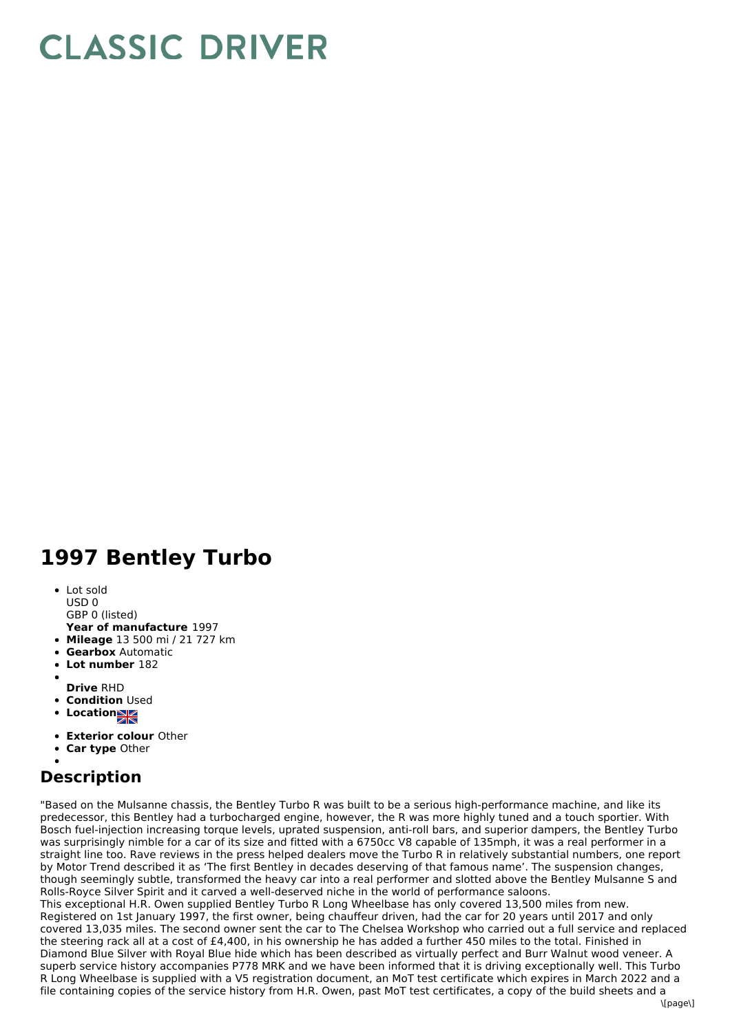## **CLASSIC DRIVER**

## **1997 Bentley Turbo**

- Lot sold USD 0
- GBP 0 (listed)
- **Year of manufacture** 1997
- **Mileage** 13 500 mi / 21 727 km
- **Gearbox** Automatic
- **Lot number** 182
- **Drive** RHD
- **Condition Used**
- 
- **Locations**
- **Exterior colour** Other
- **Car type** Other

## **Description**

"Based on the Mulsanne chassis, the Bentley Turbo R was built to be a serious high-performance machine, and like its predecessor, this Bentley had a turbocharged engine, however, the R was more highly tuned and a touch sportier. With Bosch fuel-injection increasing torque levels, uprated suspension, anti-roll bars, and superior dampers, the Bentley Turbo was surprisingly nimble for a car of its size and fitted with a 6750cc V8 capable of 135mph, it was a real performer in a straight line too. Rave reviews in the press helped dealers move the Turbo R in relatively substantial numbers, one report by Motor Trend described it as 'The first Bentley in decades deserving of that famous name'. The suspension changes, though seemingly subtle, transformed the heavy car into a real performer and slotted above the Bentley Mulsanne S and Rolls-Royce Silver Spirit and it carved a well-deserved niche in the world of performance saloons. This exceptional H.R. Owen supplied Bentley Turbo R Long Wheelbase has only covered 13,500 miles from new. Registered on 1st January 1997, the first owner, being chauffeur driven, had the car for 20 years until 2017 and only covered 13,035 miles. The second owner sent the car to The Chelsea Workshop who carried out a full service and replaced

the steering rack all at a cost of £4,400, in his ownership he has added a further 450 miles to the total. Finished in Diamond Blue Silver with Royal Blue hide which has been described as virtually perfect and Burr Walnut wood veneer. A superb service history accompanies P778 MRK and we have been informed that it is driving exceptionally well. This Turbo R Long Wheelbase is supplied with a V5 registration document, an MoT test certificate which expires in March 2022 and a file containing copies of the service history from H.R. Owen, past MoT test certificates, a copy of the build sheets and a